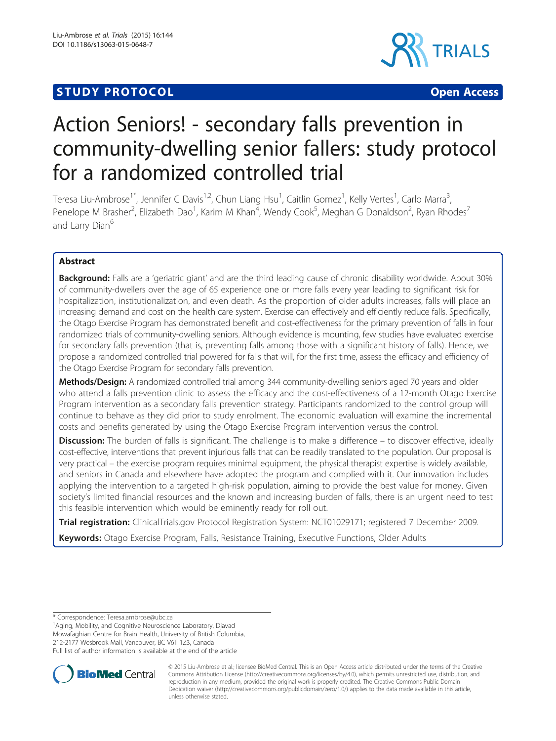## **STUDY PROTOCOL CONSUMING THE CONSUMING OPEN ACCESS**



# Action Seniors! - secondary falls prevention in community-dwelling senior fallers: study protocol for a randomized controlled trial

Teresa Liu-Ambrose<sup>1\*</sup>, Jennifer C Davis<sup>1,2</sup>, Chun Liang Hsu<sup>1</sup>, Caitlin Gomez<sup>1</sup>, Kelly Vertes<sup>1</sup>, Carlo Marra<sup>3</sup> , Penelope M Brasher<sup>2</sup>, Elizabeth Dao<sup>1</sup>, Karim M Khan<sup>4</sup>, Wendy Cook<sup>5</sup>, Meghan G Donaldson<sup>2</sup>, Ryan Rhodes<sup>7</sup> and Larry Dian<sup>6</sup>

## Abstract

Background: Falls are a 'geriatric giant' and are the third leading cause of chronic disability worldwide. About 30% of community-dwellers over the age of 65 experience one or more falls every year leading to significant risk for hospitalization, institutionalization, and even death. As the proportion of older adults increases, falls will place an increasing demand and cost on the health care system. Exercise can effectively and efficiently reduce falls. Specifically, the Otago Exercise Program has demonstrated benefit and cost-effectiveness for the primary prevention of falls in four randomized trials of community-dwelling seniors. Although evidence is mounting, few studies have evaluated exercise for secondary falls prevention (that is, preventing falls among those with a significant history of falls). Hence, we propose a randomized controlled trial powered for falls that will, for the first time, assess the efficacy and efficiency of the Otago Exercise Program for secondary falls prevention.

Methods/Design: A randomized controlled trial among 344 community-dwelling seniors aged 70 years and older who attend a falls prevention clinic to assess the efficacy and the cost-effectiveness of a 12-month Otago Exercise Program intervention as a secondary falls prevention strategy. Participants randomized to the control group will continue to behave as they did prior to study enrolment. The economic evaluation will examine the incremental costs and benefits generated by using the Otago Exercise Program intervention versus the control.

Discussion: The burden of falls is significant. The challenge is to make a difference – to discover effective, ideally cost-effective, interventions that prevent injurious falls that can be readily translated to the population. Our proposal is very practical – the exercise program requires minimal equipment, the physical therapist expertise is widely available, and seniors in Canada and elsewhere have adopted the program and complied with it. Our innovation includes applying the intervention to a targeted high-risk population, aiming to provide the best value for money. Given society's limited financial resources and the known and increasing burden of falls, there is an urgent need to test this feasible intervention which would be eminently ready for roll out.

Trial registration: ClinicalTrials.gov Protocol Registration System: [NCT01029171;](https://www.clinicaltrials.gov/ct2/results?term=NCT01029171) registered 7 December 2009.

Keywords: Otago Exercise Program, Falls, Resistance Training, Executive Functions, Older Adults

\* Correspondence: [Teresa.ambrose@ubc.ca](mailto:Teresa.ambrose@ubc.ca) <sup>1</sup>

<sup>1</sup> Aging, Mobility, and Cognitive Neuroscience Laboratory, Djavad Mowafaghian Centre for Brain Health, University of British Columbia, 212-2177 Wesbrook Mall, Vancouver, BC V6T 1Z3, Canada Full list of author information is available at the end of the article



© 2015 Liu-Ambrose et al.; licensee BioMed Central. This is an Open Access article distributed under the terms of the Creative Commons Attribution License [\(http://creativecommons.org/licenses/by/4.0\)](http://creativecommons.org/licenses/by/4.0), which permits unrestricted use, distribution, and reproduction in any medium, provided the original work is properly credited. The Creative Commons Public Domain Dedication waiver [\(http://creativecommons.org/publicdomain/zero/1.0/](http://creativecommons.org/publicdomain/zero/1.0/)) applies to the data made available in this article, unless otherwise stated.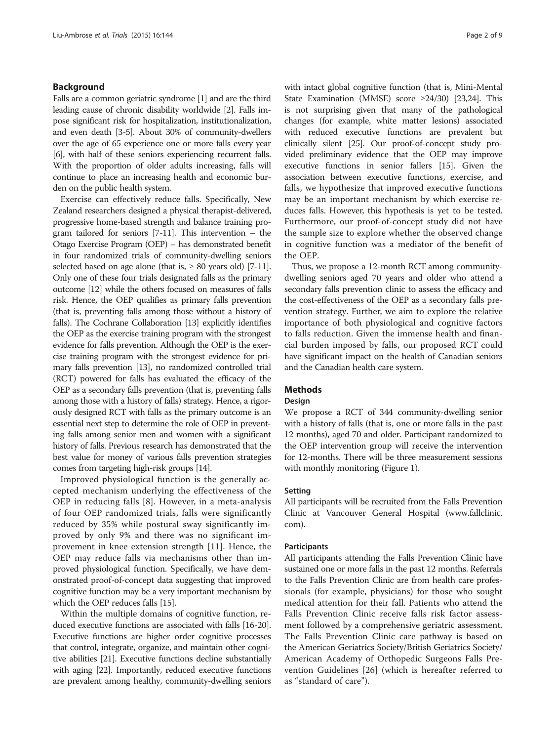#### Background

Falls are a common geriatric syndrome [[1](#page-6-0)] and are the third leading cause of chronic disability worldwide [[2](#page-6-0)]. Falls impose significant risk for hospitalization, institutionalization, and even death [[3](#page-6-0)-[5](#page-7-0)]. About 30% of community-dwellers over the age of 65 experience one or more falls every year [[6](#page-7-0)], with half of these seniors experiencing recurrent falls. With the proportion of older adults increasing, falls will continue to place an increasing health and economic burden on the public health system.

Exercise can effectively reduce falls. Specifically, New Zealand researchers designed a physical therapist-delivered, progressive home-based strength and balance training program tailored for seniors [\[7-11\]](#page-7-0). This intervention – the Otago Exercise Program (OEP) – has demonstrated benefit in four randomized trials of community-dwelling seniors selected based on age alone (that is,  $\geq 80$  years old) [\[7-11](#page-7-0)]. Only one of these four trials designated falls as the primary outcome [\[12\]](#page-7-0) while the others focused on measures of falls risk. Hence, the OEP qualifies as primary falls prevention (that is, preventing falls among those without a history of falls). The Cochrane Collaboration [\[13](#page-7-0)] explicitly identifies the OEP as the exercise training program with the strongest evidence for falls prevention. Although the OEP is the exercise training program with the strongest evidence for primary falls prevention [[13](#page-7-0)], no randomized controlled trial (RCT) powered for falls has evaluated the efficacy of the OEP as a secondary falls prevention (that is, preventing falls among those with a history of falls) strategy. Hence, a rigorously designed RCT with falls as the primary outcome is an essential next step to determine the role of OEP in preventing falls among senior men and women with a significant history of falls. Previous research has demonstrated that the best value for money of various falls prevention strategies comes from targeting high-risk groups [[14](#page-7-0)].

Improved physiological function is the generally accepted mechanism underlying the effectiveness of the OEP in reducing falls [[8](#page-7-0)]. However, in a meta-analysis of four OEP randomized trials, falls were significantly reduced by 35% while postural sway significantly improved by only 9% and there was no significant improvement in knee extension strength [[11\]](#page-7-0). Hence, the OEP may reduce falls via mechanisms other than improved physiological function. Specifically, we have demonstrated proof-of-concept data suggesting that improved cognitive function may be a very important mechanism by which the OEP reduces falls [\[15\]](#page-7-0).

Within the multiple domains of cognitive function, reduced executive functions are associated with falls [\[16-20](#page-7-0)]. Executive functions are higher order cognitive processes that control, integrate, organize, and maintain other cognitive abilities [[21](#page-7-0)]. Executive functions decline substantially with aging [\[22\]](#page-7-0). Importantly, reduced executive functions are prevalent among healthy, community-dwelling seniors with intact global cognitive function (that is, Mini-Mental State Examination (MMSE) score ≥24/30) [\[23,24\]](#page-7-0). This is not surprising given that many of the pathological changes (for example, white matter lesions) associated with reduced executive functions are prevalent but clinically silent [\[25\]](#page-7-0). Our proof-of-concept study provided preliminary evidence that the OEP may improve executive functions in senior fallers [\[15\]](#page-7-0). Given the association between executive functions, exercise, and falls, we hypothesize that improved executive functions may be an important mechanism by which exercise reduces falls. However, this hypothesis is yet to be tested. Furthermore, our proof-of-concept study did not have the sample size to explore whether the observed change in cognitive function was a mediator of the benefit of the OEP.

Thus, we propose a 12-month RCT among communitydwelling seniors aged 70 years and older who attend a secondary falls prevention clinic to assess the efficacy and the cost-effectiveness of the OEP as a secondary falls prevention strategy. Further, we aim to explore the relative importance of both physiological and cognitive factors to falls reduction. Given the immense health and financial burden imposed by falls, our proposed RCT could have significant impact on the health of Canadian seniors and the Canadian health care system.

#### Methods

#### Design

We propose a RCT of 344 community-dwelling senior with a history of falls (that is, one or more falls in the past 12 months), aged 70 and older. Participant randomized to the OEP intervention group will receive the intervention for 12-months. There will be three measurement sessions with monthly monitoring (Figure [1\)](#page-2-0).

#### Setting

All participants will be recruited from the Falls Prevention Clinic at Vancouver General Hospital ([www.fallclinic.](http://www.fallclinic.com) [com](http://www.fallclinic.com)).

#### Participants

All participants attending the Falls Prevention Clinic have sustained one or more falls in the past 12 months. Referrals to the Falls Prevention Clinic are from health care professionals (for example, physicians) for those who sought medical attention for their fall. Patients who attend the Falls Prevention Clinic receive falls risk factor assessment followed by a comprehensive geriatric assessment. The Falls Prevention Clinic care pathway is based on the American Geriatrics Society/British Geriatrics Society/ American Academy of Orthopedic Surgeons Falls Prevention Guidelines [[26\]](#page-7-0) (which is hereafter referred to as "standard of care").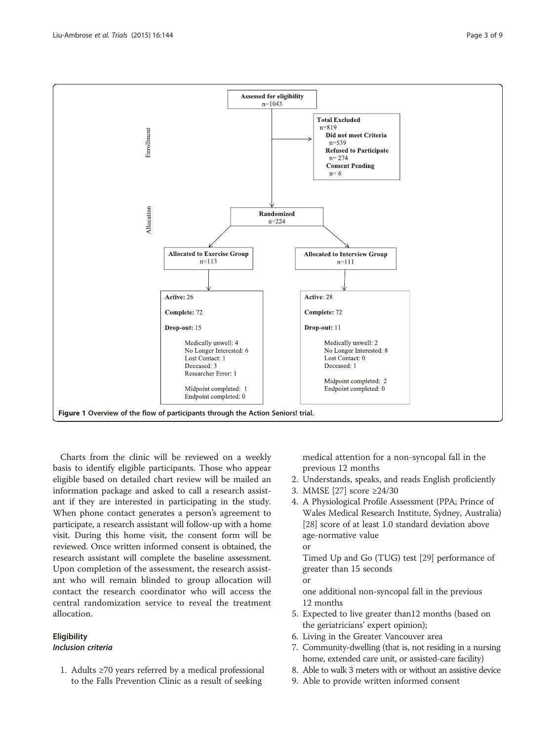<span id="page-2-0"></span>

Charts from the clinic will be reviewed on a weekly basis to identify eligible participants. Those who appear eligible based on detailed chart review will be mailed an information package and asked to call a research assistant if they are interested in participating in the study. When phone contact generates a person's agreement to participate, a research assistant will follow-up with a home visit. During this home visit, the consent form will be reviewed. Once written informed consent is obtained, the research assistant will complete the baseline assessment. Upon completion of the assessment, the research assistant who will remain blinded to group allocation will contact the research coordinator who will access the central randomization service to reveal the treatment allocation.

## Eligibility Inclusion criteria

1. Adults ≥70 years referred by a medical professional to the Falls Prevention Clinic as a result of seeking

medical attention for a non-syncopal fall in the previous 12 months

- 2. Understands, speaks, and reads English proficiently
- 3. MMSE [[27\]](#page-7-0) score ≥24/30
- 4. A Physiological Profile Assessment (PPA; Prince of Wales Medical Research Institute, Sydney, Australia) [[28](#page-7-0)] score of at least 1.0 standard deviation above age-normative value

or

or

Timed Up and Go (TUG) test [[29](#page-7-0)] performance of greater than 15 seconds

one additional non-syncopal fall in the previous 12 months

- 5. Expected to live greater than12 months (based on the geriatricians' expert opinion);
- 6. Living in the Greater Vancouver area
- 7. Community-dwelling (that is, not residing in a nursing home, extended care unit, or assisted-care facility)
- 8. Able to walk 3 meters with or without an assistive device
- 9. Able to provide written informed consent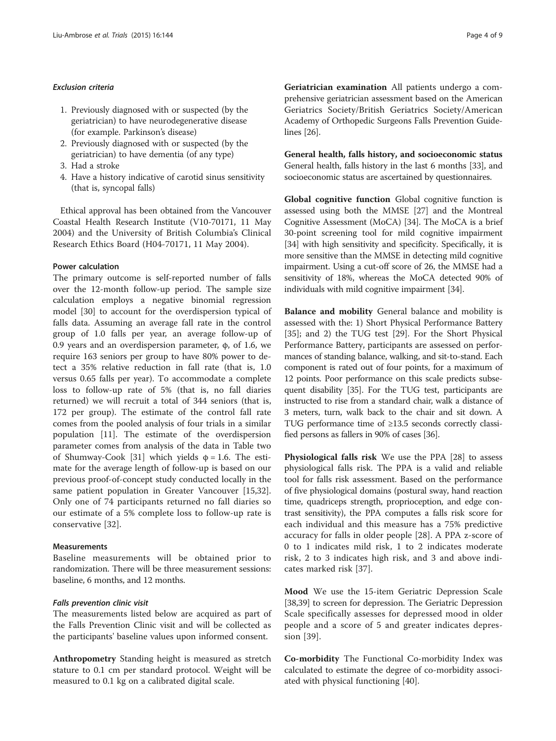#### Exclusion criteria

- 1. Previously diagnosed with or suspected (by the geriatrician) to have neurodegenerative disease (for example. Parkinson's disease)
- 2. Previously diagnosed with or suspected (by the geriatrician) to have dementia (of any type)
- 3. Had a stroke
- 4. Have a history indicative of carotid sinus sensitivity (that is, syncopal falls)

Ethical approval has been obtained from the Vancouver Coastal Health Research Institute (V10-70171, 11 May 2004) and the University of British Columbia's Clinical Research Ethics Board (H04-70171, 11 May 2004).

#### Power calculation

The primary outcome is self-reported number of falls over the 12-month follow-up period. The sample size calculation employs a negative binomial regression model [\[30](#page-7-0)] to account for the overdispersion typical of falls data. Assuming an average fall rate in the control group of 1.0 falls per year, an average follow-up of 0.9 years and an overdispersion parameter, φ, of 1.6, we require 163 seniors per group to have 80% power to detect a 35% relative reduction in fall rate (that is, 1.0 versus 0.65 falls per year). To accommodate a complete loss to follow-up rate of 5% (that is, no fall diaries returned) we will recruit a total of 344 seniors (that is, 172 per group). The estimate of the control fall rate comes from the pooled analysis of four trials in a similar population [[11\]](#page-7-0). The estimate of the overdispersion parameter comes from analysis of the data in Table two of Shumway-Cook [\[31](#page-7-0)] which yields  $\phi = 1.6$ . The estimate for the average length of follow-up is based on our previous proof-of-concept study conducted locally in the same patient population in Greater Vancouver [\[15,32](#page-7-0)]. Only one of 74 participants returned no fall diaries so our estimate of a 5% complete loss to follow-up rate is conservative [[32\]](#page-7-0).

#### Measurements

Baseline measurements will be obtained prior to randomization. There will be three measurement sessions: baseline, 6 months, and 12 months.

## Falls prevention clinic visit

The measurements listed below are acquired as part of the Falls Prevention Clinic visit and will be collected as the participants' baseline values upon informed consent.

Anthropometry Standing height is measured as stretch stature to 0.1 cm per standard protocol. Weight will be measured to 0.1 kg on a calibrated digital scale.

Geriatrician examination All patients undergo a comprehensive geriatrician assessment based on the American Geriatrics Society/British Geriatrics Society/American Academy of Orthopedic Surgeons Falls Prevention Guidelines [[26](#page-7-0)].

General health, falls history, and socioeconomic status General health, falls history in the last 6 months [[33\]](#page-7-0), and socioeconomic status are ascertained by questionnaires.

Global cognitive function Global cognitive function is assessed using both the MMSE [\[27\]](#page-7-0) and the Montreal Cognitive Assessment (MoCA) [\[34\]](#page-7-0). The MoCA is a brief 30-point screening tool for mild cognitive impairment [[34](#page-7-0)] with high sensitivity and specificity. Specifically, it is more sensitive than the MMSE in detecting mild cognitive impairment. Using a cut-off score of 26, the MMSE had a sensitivity of 18%, whereas the MoCA detected 90% of individuals with mild cognitive impairment [[34](#page-7-0)].

Balance and mobility General balance and mobility is assessed with the: 1) Short Physical Performance Battery [[35\]](#page-7-0); and 2) the TUG test [[29\]](#page-7-0). For the Short Physical Performance Battery, participants are assessed on performances of standing balance, walking, and sit-to-stand. Each component is rated out of four points, for a maximum of 12 points. Poor performance on this scale predicts subsequent disability [\[35](#page-7-0)]. For the TUG test, participants are instructed to rise from a standard chair, walk a distance of 3 meters, turn, walk back to the chair and sit down. A TUG performance time of ≥13.5 seconds correctly classified persons as fallers in 90% of cases [[36](#page-7-0)].

Physiological falls risk We use the PPA [\[28](#page-7-0)] to assess physiological falls risk. The PPA is a valid and reliable tool for falls risk assessment. Based on the performance of five physiological domains (postural sway, hand reaction time, quadriceps strength, proprioception, and edge contrast sensitivity), the PPA computes a falls risk score for each individual and this measure has a 75% predictive accuracy for falls in older people [[28\]](#page-7-0). A PPA z-score of 0 to 1 indicates mild risk, 1 to 2 indicates moderate risk, 2 to 3 indicates high risk, and 3 and above indicates marked risk [[37\]](#page-7-0).

Mood We use the 15-item Geriatric Depression Scale [[38](#page-7-0),[39](#page-7-0)] to screen for depression. The Geriatric Depression Scale specifically assesses for depressed mood in older people and a score of 5 and greater indicates depression [\[39\]](#page-7-0).

Co-morbidity The Functional Co-morbidity Index was calculated to estimate the degree of co-morbidity associated with physical functioning [\[40](#page-7-0)].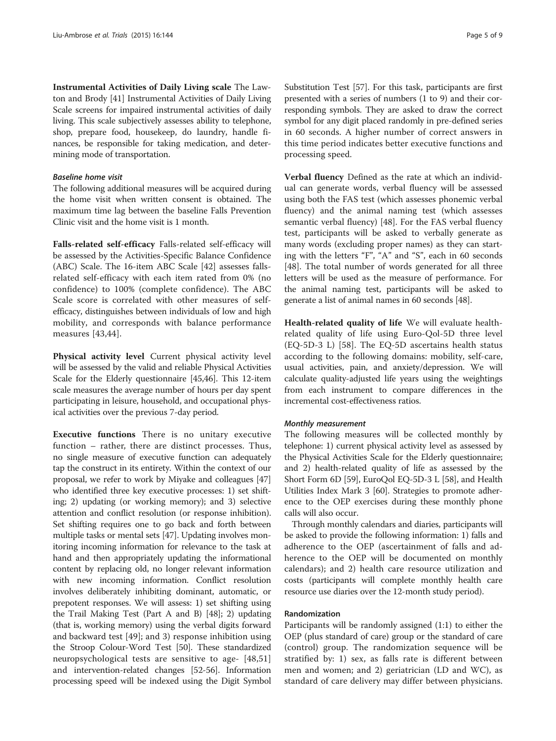Instrumental Activities of Daily Living scale The Lawton and Brody [[41](#page-7-0)] Instrumental Activities of Daily Living Scale screens for impaired instrumental activities of daily living. This scale subjectively assesses ability to telephone, shop, prepare food, housekeep, do laundry, handle finances, be responsible for taking medication, and determining mode of transportation.

#### Baseline home visit

The following additional measures will be acquired during the home visit when written consent is obtained. The maximum time lag between the baseline Falls Prevention Clinic visit and the home visit is 1 month.

Falls-related self-efficacy Falls-related self-efficacy will be assessed by the Activities-Specific Balance Confidence (ABC) Scale. The 16-item ABC Scale [\[42](#page-7-0)] assesses fallsrelated self-efficacy with each item rated from 0% (no confidence) to 100% (complete confidence). The ABC Scale score is correlated with other measures of selfefficacy, distinguishes between individuals of low and high mobility, and corresponds with balance performance measures [\[43](#page-7-0),[44\]](#page-7-0).

Physical activity level Current physical activity level will be assessed by the valid and reliable Physical Activities Scale for the Elderly questionnaire [[45,46](#page-7-0)]. This 12-item scale measures the average number of hours per day spent participating in leisure, household, and occupational physical activities over the previous 7-day period.

Executive functions There is no unitary executive function – rather, there are distinct processes. Thus, no single measure of executive function can adequately tap the construct in its entirety. Within the context of our proposal, we refer to work by Miyake and colleagues [[47](#page-7-0)] who identified three key executive processes: 1) set shifting; 2) updating (or working memory); and 3) selective attention and conflict resolution (or response inhibition). Set shifting requires one to go back and forth between multiple tasks or mental sets [[47](#page-7-0)]. Updating involves monitoring incoming information for relevance to the task at hand and then appropriately updating the informational content by replacing old, no longer relevant information with new incoming information. Conflict resolution involves deliberately inhibiting dominant, automatic, or prepotent responses. We will assess: 1) set shifting using the Trail Making Test (Part A and B) [[48](#page-7-0)]; 2) updating (that is, working memory) using the verbal digits forward and backward test [[49\]](#page-7-0); and 3) response inhibition using the Stroop Colour-Word Test [[50](#page-7-0)]. These standardized neuropsychological tests are sensitive to age- [[48,51](#page-7-0)] and intervention-related changes [[52](#page-7-0)-[56](#page-7-0)]. Information processing speed will be indexed using the Digit Symbol Substitution Test [\[57\]](#page-8-0). For this task, participants are first presented with a series of numbers (1 to 9) and their corresponding symbols. They are asked to draw the correct symbol for any digit placed randomly in pre-defined series in 60 seconds. A higher number of correct answers in this time period indicates better executive functions and processing speed.

Verbal fluency Defined as the rate at which an individual can generate words, verbal fluency will be assessed using both the FAS test (which assesses phonemic verbal fluency) and the animal naming test (which assesses semantic verbal fluency) [[48\]](#page-7-0). For the FAS verbal fluency test, participants will be asked to verbally generate as many words (excluding proper names) as they can starting with the letters "F", "A" and "S", each in 60 seconds [[48\]](#page-7-0). The total number of words generated for all three letters will be used as the measure of performance. For the animal naming test, participants will be asked to generate a list of animal names in 60 seconds [\[48\]](#page-7-0).

Health-related quality of life We will evaluate healthrelated quality of life using Euro-Qol-5D three level (EQ-5D-3 L) [\[58](#page-8-0)]. The EQ-5D ascertains health status according to the following domains: mobility, self-care, usual activities, pain, and anxiety/depression. We will calculate quality-adjusted life years using the weightings from each instrument to compare differences in the incremental cost-effectiveness ratios.

#### Monthly measurement

The following measures will be collected monthly by telephone: 1) current physical activity level as assessed by the Physical Activities Scale for the Elderly questionnaire; and 2) health-related quality of life as assessed by the Short Form 6D [\[59](#page-8-0)], EuroQol EQ-5D-3 L [[58](#page-8-0)], and Health Utilities Index Mark 3 [[60](#page-8-0)]. Strategies to promote adherence to the OEP exercises during these monthly phone calls will also occur.

Through monthly calendars and diaries, participants will be asked to provide the following information: 1) falls and adherence to the OEP (ascertainment of falls and adherence to the OEP will be documented on monthly calendars); and 2) health care resource utilization and costs (participants will complete monthly health care resource use diaries over the 12-month study period).

#### Randomization

Participants will be randomly assigned (1:1) to either the OEP (plus standard of care) group or the standard of care (control) group. The randomization sequence will be stratified by: 1) sex, as falls rate is different between men and women; and 2) geriatrician (LD and WC), as standard of care delivery may differ between physicians.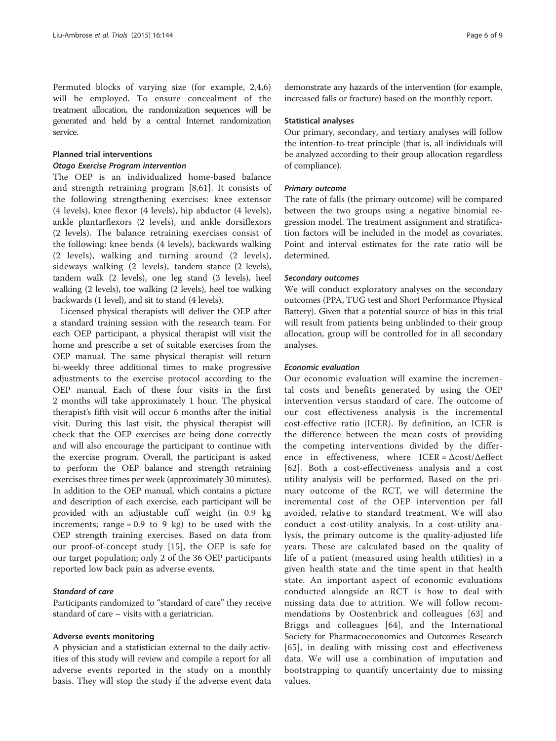Permuted blocks of varying size (for example, 2,4,6) will be employed. To ensure concealment of the treatment allocation, the randomization sequences will be generated and held by a central Internet randomization service.

## Planned trial interventions

#### Otago Exercise Program intervention

The OEP is an individualized home-based balance and strength retraining program [[8,](#page-7-0)[61\]](#page-8-0). It consists of the following strengthening exercises: knee extensor (4 levels), knee flexor (4 levels), hip abductor (4 levels), ankle plantarflexors (2 levels), and ankle dorsiflexors (2 levels). The balance retraining exercises consist of the following: knee bends (4 levels), backwards walking (2 levels), walking and turning around (2 levels), sideways walking (2 levels), tandem stance (2 levels), tandem walk (2 levels), one leg stand (3 levels), heel walking (2 levels), toe walking (2 levels), heel toe walking backwards (1 level), and sit to stand (4 levels).

Licensed physical therapists will deliver the OEP after a standard training session with the research team. For each OEP participant, a physical therapist will visit the home and prescribe a set of suitable exercises from the OEP manual. The same physical therapist will return bi-weekly three additional times to make progressive adjustments to the exercise protocol according to the OEP manual. Each of these four visits in the first 2 months will take approximately 1 hour. The physical therapist's fifth visit will occur 6 months after the initial visit. During this last visit, the physical therapist will check that the OEP exercises are being done correctly and will also encourage the participant to continue with the exercise program. Overall, the participant is asked to perform the OEP balance and strength retraining exercises three times per week (approximately 30 minutes). In addition to the OEP manual, which contains a picture and description of each exercise, each participant will be provided with an adjustable cuff weight (in 0.9 kg increments; range =  $0.9$  to  $9$  kg) to be used with the OEP strength training exercises. Based on data from our proof-of-concept study [[15\]](#page-7-0), the OEP is safe for our target population; only 2 of the 36 OEP participants reported low back pain as adverse events.

#### Standard of care

Participants randomized to "standard of care" they receive standard of care – visits with a geriatrician.

#### Adverse events monitoring

A physician and a statistician external to the daily activities of this study will review and compile a report for all adverse events reported in the study on a monthly basis. They will stop the study if the adverse event data demonstrate any hazards of the intervention (for example, increased falls or fracture) based on the monthly report.

#### Statistical analyses

Our primary, secondary, and tertiary analyses will follow the intention-to-treat principle (that is, all individuals will be analyzed according to their group allocation regardless of compliance).

#### Primary outcome

The rate of falls (the primary outcome) will be compared between the two groups using a negative binomial regression model. The treatment assignment and stratification factors will be included in the model as covariates. Point and interval estimates for the rate ratio will be determined.

#### Secondary outcomes

We will conduct exploratory analyses on the secondary outcomes (PPA, TUG test and Short Performance Physical Battery). Given that a potential source of bias in this trial will result from patients being unblinded to their group allocation, group will be controlled for in all secondary analyses.

#### Economic evaluation

Our economic evaluation will examine the incremental costs and benefits generated by using the OEP intervention versus standard of care. The outcome of our cost effectiveness analysis is the incremental cost-effective ratio (ICER). By definition, an ICER is the difference between the mean costs of providing the competing interventions divided by the difference in effectiveness, where ICER = Δcost/Δeffect [[62](#page-8-0)]. Both a cost-effectiveness analysis and a cost utility analysis will be performed. Based on the primary outcome of the RCT, we will determine the incremental cost of the OEP intervention per fall avoided, relative to standard treatment. We will also conduct a cost-utility analysis. In a cost-utility analysis, the primary outcome is the quality-adjusted life years. These are calculated based on the quality of life of a patient (measured using health utilities) in a given health state and the time spent in that health state. An important aspect of economic evaluations conducted alongside an RCT is how to deal with missing data due to attrition. We will follow recommendations by Oostenbrick and colleagues [[63\]](#page-8-0) and Briggs and colleagues [[64](#page-8-0)], and the International Society for Pharmacoeconomics and Outcomes Research [[65](#page-8-0)], in dealing with missing cost and effectiveness data. We will use a combination of imputation and bootstrapping to quantify uncertainty due to missing values.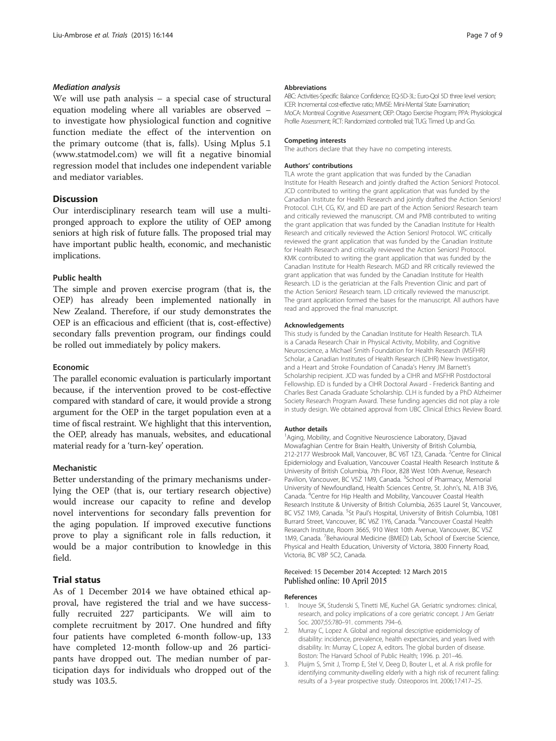#### <span id="page-6-0"></span>Mediation analysis

We will use path analysis – a special case of structural equation modeling where all variables are observed – to investigate how physiological function and cognitive function mediate the effect of the intervention on the primary outcome (that is, falls). Using Mplus 5.1 ([www.statmodel.com](http://www.statmodel.com)) we will fit a negative binomial regression model that includes one independent variable and mediator variables.

## **Discussion**

Our interdisciplinary research team will use a multipronged approach to explore the utility of OEP among seniors at high risk of future falls. The proposed trial may have important public health, economic, and mechanistic implications.

#### Public health

The simple and proven exercise program (that is, the OEP) has already been implemented nationally in New Zealand. Therefore, if our study demonstrates the OEP is an efficacious and efficient (that is, cost-effective) secondary falls prevention program, our findings could be rolled out immediately by policy makers.

#### Economic

The parallel economic evaluation is particularly important because, if the intervention proved to be cost-effective compared with standard of care, it would provide a strong argument for the OEP in the target population even at a time of fiscal restraint. We highlight that this intervention, the OEP, already has manuals, websites, and educational material ready for a 'turn-key' operation.

#### Mechanistic

Better understanding of the primary mechanisms underlying the OEP (that is, our tertiary research objective) would increase our capacity to refine and develop novel interventions for secondary falls prevention for the aging population. If improved executive functions prove to play a significant role in falls reduction, it would be a major contribution to knowledge in this field.

#### Trial status

As of 1 December 2014 we have obtained ethical approval, have registered the trial and we have successfully recruited 227 participants. We will aim to complete recruitment by 2017. One hundred and fifty four patients have completed 6-month follow-up, 133 have completed 12-month follow-up and 26 participants have dropped out. The median number of participation days for individuals who dropped out of the study was 103.5.

#### **Abbreviations**

ABC: Activities-Specific Balance Confidence; EQ-5D-3L: Euro-Qol 5D three level version; ICER: Incremental cost-effective ratio; MMSE: Mini-Mental State Examination; MoCA: Montreal Cognitive Assessment; OEP: Otago Exercise Program; PPA: Physiological Profile Assessment; RCT: Randomized controlled trial; TUG: Timed Up and Go.

#### Competing interests

The authors declare that they have no competing interests.

#### Authors' contributions

TLA wrote the grant application that was funded by the Canadian Institute for Health Research and jointly drafted the Action Seniors! Protocol. JCD contributed to writing the grant application that was funded by the Canadian Institute for Health Research and jointly drafted the Action Seniors! Protocol. CLH, CG, KV, and ED are part of the Action Seniors! Research team and critically reviewed the manuscript. CM and PMB contributed to writing the grant application that was funded by the Canadian Institute for Health Research and critically reviewed the Action Seniors! Protocol. WC critically reviewed the grant application that was funded by the Canadian Institute for Health Research and critically reviewed the Action Seniors! Protocol. KMK contributed to writing the grant application that was funded by the Canadian Institute for Health Research. MGD and RR critically reviewed the grant application that was funded by the Canadian Institute for Health Research. LD is the geriatrician at the Falls Prevention Clinic and part of the Action Seniors! Research team. LD critically reviewed the manuscript. The grant application formed the bases for the manuscript. All authors have read and approved the final manuscript.

#### Acknowledgements

This study is funded by the Canadian Institute for Health Research. TLA is a Canada Research Chair in Physical Activity, Mobility, and Cognitive Neuroscience, a Michael Smith Foundation for Health Research (MSFHR) Scholar, a Canadian Institutes of Health Research (CIHR) New Investigator, and a Heart and Stroke Foundation of Canada's Henry JM Barnett's Scholarship recipient. JCD was funded by a CIHR and MSFHR Postdoctoral Fellowship. ED is funded by a CIHR Doctoral Award - Frederick Banting and Charles Best Canada Graduate Scholarship. CLH is funded by a PhD Alzheimer Society Research Program Award. These funding agencies did not play a role in study design. We obtained approval from UBC Clinical Ethics Review Board.

#### Author details

<sup>1</sup> Aging, Mobility, and Cognitive Neuroscience Laboratory, Djavad Mowafaghian Centre for Brain Health, University of British Columbia, 212-2177 Wesbrook Mall, Vancouver, BC V6T 1Z3, Canada. <sup>2</sup>Centre for Clinical Epidemiology and Evaluation, Vancouver Coastal Health Research Institute & University of British Columbia, 7th Floor, 828 West 10th Avenue, Research Pavilion, Vancouver, BC V5Z 1M9, Canada. <sup>3</sup>School of Pharmacy, Memorial University of Newfoundland, Health Sciences Centre, St. John's, NL A1B 3V6, Canada. <sup>4</sup>Centre for Hip Health and Mobility, Vancouver Coastal Health Research Institute & University of British Columbia, 2635 Laurel St, Vancouver, BC V5Z 1M9, Canada. <sup>5</sup>St Paul's Hospital, University of British Columbia, 1081 Burrard Street, Vancouver, BC V6Z 1Y6, Canada. <sup>6</sup>Vancouver Coastal Health Research Institute, Room 3665, 910 West 10th Avenue, Vancouver, BC V5Z 1M9, Canada. <sup>7</sup>Behavioural Medicine (BMED) Lab, School of Exercise Science Physical and Health Education, University of Victoria, 3800 Finnerty Road, Victoria, BC V8P 5C2, Canada.

#### Received: 15 December 2014 Accepted: 12 March 2015 Published online: 10 April 2015

#### References

- 1. Inouye SK, Studenski S, Tinetti ME, Kuchel GA. Geriatric syndromes: clinical, research, and policy implications of a core geriatric concept. J Am Geriatr Soc. 2007;55:780–91. comments 794–6.
- 2. Murray C, Lopez A. Global and regional descriptive epidemiology of disability: incidence, prevalence, health expectancies, and years lived with disability. In: Murray C, Lopez A, editors. The global burden of disease. Boston: The Harvard School of Public Health; 1996. p. 201–46.
- 3. Pluijm S, Smit J, Tromp E, Stel V, Deeg D, Bouter L, et al. A risk profile for identifying community-dwelling elderly with a high risk of recurrent falling: results of a 3-year prospective study. Osteoporos Int. 2006;17:417–25.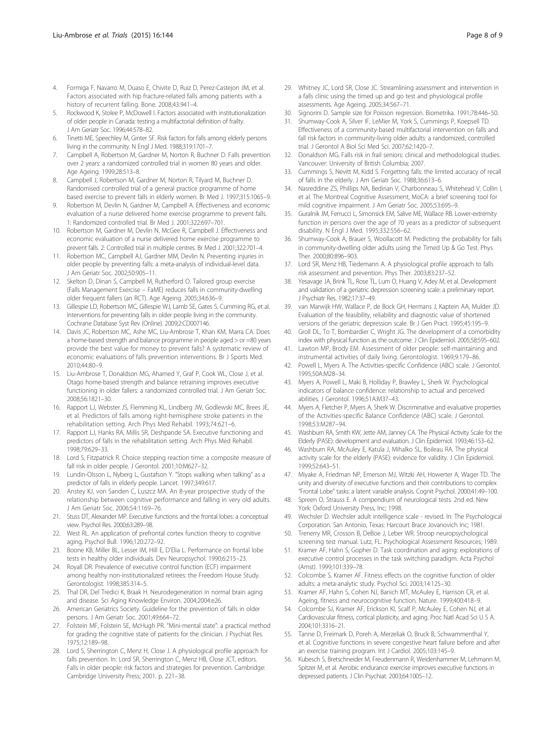- <span id="page-7-0"></span>4. Formiga F, Navarro M, Duaso E, Chivite D, Ruiz D, Perez-Castejon JM, et al. Factors associated with hip fracture-related falls among patients with a history of recurrent falling. Bone. 2008;43:941–4.
- 5. Rockwood K, Stolee P, McDowell I. Factors associated with institutionalization of older people in Canada: testing a multifactorial definition of frailty. J Am Geriatr Soc. 1996;44:578–82.
- 6. Tinetti ME, Speechley M, Ginter SF. Risk factors for falls among elderly persons living in the community. N Engl J Med. 1988;319:1701–7.
- 7. Campbell A, Robertson M, Gardner M, Norton R, Buchner D. Falls prevention over 2 years: a randomized controlled trial in women 80 years and older. Age Ageing. 1999;28:513–8.
- Campbell J, Robertson M, Gardner M, Norton R, Tilyard M, Buchner D. Randomised controlled trial of a general practice programme of home based exercise to prevent falls in elderly women. Br Med J. 1997;315:1065–9.
- Robertson M, Devlin N, Gardner M, Campbell A. Effectiveness and economic evaluation of a nurse delivered home exercise programme to prevent falls. 1: Randomized controlled trial. Br Med J. 2001;322:697–701.
- 10. Robertson M, Gardner M, Devlin N, McGee R, Campbell J. Effectiveness and economic evaluation of a nurse delivered home exercise programme to prevent falls. 2: Controlled trial in multiple centres. Br Med J. 2001;322:701–4.
- 11. Robertson MC, Campbell AJ, Gardner MM, Devlin N. Preventing injuries in older people by preventing falls: a meta-analysis of individual-level data. J Am Geriatr Soc. 2002;50:905–11.
- 12. Skelton D, Dinan S, Campbell M, Rutherford O. Tailored group exercise (Falls Management Exercise – FaME) reduces falls in community-dwelling older frequent fallers (an RCT). Age Ageing. 2005;34:636–9.
- 13. Gillespie LD, Robertson MC, Gillespie WJ, Lamb SE, Gates S, Cumming RG, et al. Interventions for preventing falls in older people living in the community. Cochrane Database Syst Rev (Online). 2009;2:CD007146.
- 14. Davis JC, Robertson MC, Ashe MC, Liu-Ambrose T, Khan KM, Marra CA. Does a home-based strength and balance programme in people aged > or =80 years provide the best value for money to prevent falls? A systematic review of economic evaluations of falls prevention interventions. Br J Sports Med. 2010;44:80–9.
- 15. Liu-Ambrose T, Donaldson MG, Ahamed Y, Graf P, Cook WL, Close J, et al. Otago home-based strength and balance retraining improves executive functioning in older fallers: a randomized controlled trial. J Am Geriatr Soc. 2008;56:1821–30.
- 16. Rapport LJ, Webster JS, Flemming KL, Lindberg JW, Godlewski MC, Brees JE, et al. Predictors of falls among right-hemisphere stroke patients in the rehabilitation setting. Arch Phys Med Rehabil. 1993;74:621–6.
- 17. Rapport LJ, Hanks RA, Millis SR, Deshpande SA. Executive functioning and predictors of falls in the rehabilitation setting. Arch Phys Med Rehabil. 1998;79:629–33.
- 18. Lord S, Fitzpatrick R. Choice stepping reaction time: a composite measure of fall risk in older people. J Gerontol. 2001;10:M627–32.
- 19. Lundin-Olsson L, Nyberg L, Gustafson Y. "Stops walking when talking" as a predictor of falls in elderly people. Lancet. 1997;349:617.
- 20. Anstey KJ, von Sanden C, Luszcz MA. An 8-year prospective study of the relationship between cognitive performance and falling in very old adults. J Am Geriatr Soc. 2006;54:1169–76.
- 21. Stuss DT, Alexander MP. Executive functions and the frontal lobes: a conceptual view. Psychol Res. 2000;63:289–98.
- 22. West RL. An application of prefrontal cortex function theory to cognitive aging. Psychol Bull. 1996;120:272–92.
- 23. Boone KB, Miller BL, Lesser IM, Hill E, D'Elia L. Performance on frontal lobe tests in healthy older individuals. Dev Neuropsychol. 1990;6:215–23.
- 24. Royall DR. Prevalence of executive control function (ECF) impairment among healthy non-institutionalized retirees: the Freedom House Study. Gerontologist. 1998;38S:314–5.
- 25. Thal DR, Del Tredici K, Braak H. Neurodegeneration in normal brain aging and disease. Sci Aging Knowledge Environ. 2004;2004:e26.
- 26. American Geriatrics Society. Guideline for the prevention of falls in older persons. J Am Geriatr Soc. 2001;49:664–72.
- 27. Folstein MF, Folstein SE, McHugh PR. "Mini-mental state": a practical method for grading the cognitive state of patients for the clinician. J Psychiat Res. 1975;12:189–98.
- 28. Lord S, Sherrington C, Menz H, Close J. A physiological profile approach for falls prevention. In: Lord SR, Sherrington C, Menz HB, Close JCT, editors. Falls in older people: risk factors and strategies for prevention. Cambridge: Cambridge University Press; 2001. p. 221–38.
- 29. Whitney JC, Lord SR, Close JC. Streamlining assessment and intervention in a falls clinic using the timed up and go test and physiological profile assessments. Age Ageing. 2005;34:567–71.
- 30. Signorini D. Sample size for Poisson regression. Biometrika. 1991;78:446–50.
- 31. Shumway-Cook A, Silver IF, LeMier M, York S, Cummings P, Koepsell TD. Effectiveness of a community-based multifactorial intervention on falls and fall risk factors in community-living older adults: a randomized, controlled trial. J Gerontol A Biol Sci Med Sci. 2007;62:1420–7.
- 32. Donaldson MG. Falls risk in frail seniors: clinical and methodological studies. Vancouver: University of British Columbia; 2007.
- 33. Cummings S, Nevitt M, Kidd S. Forgetting falls: the limited accuracy of recall of falls in the elderly. J Am Geriatr Soc. 1988;36:613–6.
- 34. Nasreddine ZS, Phillips NA, Bedirian V, Charbonneau S, Whitehead V, Collin I, et al. The Montreal Cognitive Assessment, MoCA: a brief screening tool for mild cognitive impairment. J Am Geriatr Soc. 2005;53:695–9.
- 35. Guralnik JM, Ferrucci L, Simonsick EM, Salive ME, Wallace RB. Lower-extremity function in persons over the age of 70 years as a predictor of subsequent disability. N Engl J Med. 1995;332:556–62.
- 36. Shumway-Cook A, Brauer S, Woollacott M. Predicting the probability for falls in community-dwelling older adults using the Timed Up & Go Test. Phys Ther. 2000;80:896–903.
- 37. Lord SR, Menz HB, Tiedemann A. A physiological profile approach to falls risk assessment and prevention. Phys Ther. 2003;83:237–52.
- 38. Yesavage JA, Brink TL, Rose TL, Lum O, Huang V, Adey M, et al. Development and validation of a geriatric depression screening scale: a preliminary report. J Psychiatr Res. 1982;17:37–49.
- 39. van Marwijk HW, Wallace P, de Bock GH, Hermans J, Kaptein AA, Mulder JD. Evaluation of the feasibility, reliability and diagnostic value of shortened versions of the geriatric depression scale. Br J Gen Pract. 1995;45:195–9.
- 40. Groll DL, To T, Bombardier C, Wright JG. The development of a comorbidity index with physical function as the outcome. J Clin Epidemiol. 2005;58:595–602.
- 41. Lawton MP, Brody EM. Assessment of older people: self-maintaining and instrumental activities of daily living. Gerontologist. 1969;9:179–86.
- 42. Powell L, Myers A. The Activities-specific Confidence (ABC) scale. J Gerontol. 1995;50A:M28–34.
- 43. Myers A, Powell L, Maki B, Holliday P, Brawley L, Sherk W. Psychological indicators of balance confidence: relationship to actual and perceived abilities. J Gerontol. 1996;51A:M37–43.
- 44. Myers A, Fletcher P, Myers A, Sherk W. Discriminative and evaluative properties of the Activities-specific Balance Confidence (ABC) scale. J Gerontol. 1998;53:M287–94.
- 45. Washburn RA, Smith KW, Jette AM, Janney CA. The Physical Activity Scale for the Elderly (PASE): development and evaluation. J Clin Epidemiol. 1993;46:153–62.
- 46. Washburn RA, McAuley E, Katula J, Mihalko SL, Boileau RA. The physical activity scale for the elderly (PASE): evidence for validity. J Clin Epidemiol. 1999;52:643–51.
- 47. Miyake A, Friedman NP, Emerson MJ, Witzki AH, Howerter A, Wager TD. The unity and diversity of executive functions and their contributions to complex "Frontal Lobe" tasks: a latent variable analysis. Cognit Psychol. 2000;41:49–100.
- 48. Spreen O, Strauss E. A compendium of neurological tests. 2nd ed. New York: Oxford University Press, Inc; 1998.
- 49. Wechsler D. Wechsler adult intelligence scale revised. In: The Psychological Corporation. San Antonio, Texas: Harcourt Brace Jovanovich Inc; 1981.
- 50. Trenerry MR, Crosson B, DeBoe J, Leber WR. Stroop neuropsychological screening test manual. Lutz, FL: Psychological Assessment Resources; 1989.
- 51. Kramer AF, Hahn S, Gopher D. Task coordination and aging: explorations of executive control processes in the task switching paradigm. Acta Psychol (Amst). 1999;101:339–78.
- 52. Colcombe S, Kramer AF. Fitness effects on the cognitive function of older adults: a meta-analytic study. Psychol Sci. 2003;14:125–30.
- 53. Kramer AF, Hahn S, Cohen NJ, Banich MT, McAuley E, Harrison CR, et al. Ageing, fitness and neurocognitive function. Nature. 1999;400:418–9.
- 54. Colcombe SJ, Kramer AF, Erickson KI, Scalf P, McAuley E, Cohen NJ, et al. Cardiovascular fitness, cortical plasticity, and aging. Proc Natl Acad Sci U S A. 2004;101:3316–21.
- 55. Tanne D, Freimark D, Poreh A, Merzeliak O, Bruck B, Schwammenthal Y, et al. Cognitive functions in severe congestive heart failure before and after an exercise training program. Int J Cardiol. 2005;103:145–9.
- 56. Kubesch S, Bretschneider M, Freudenmann R, Weidenhammer M, Lehmann M, Spitzer M, et al. Aerobic endurance exercise improves executive functions in depressed patients. J Clin Psychiat. 2003;64:1005–12.